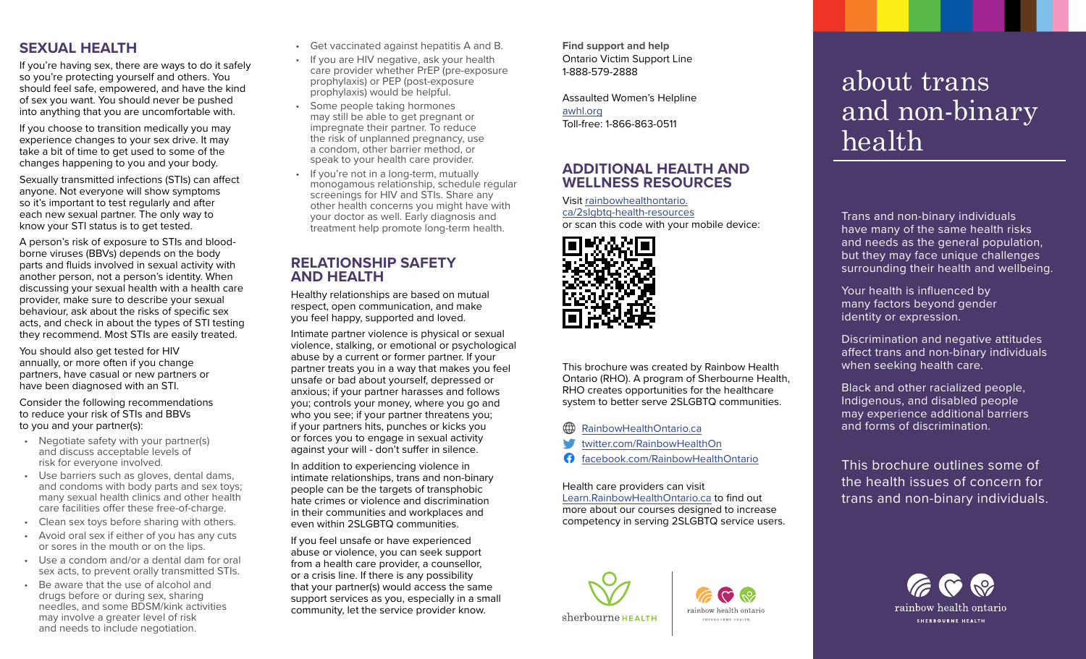# **SEXUAL HEALTH**

If you're having sex, there are ways to do it safely so you're protecting yourself and others. You should feel safe, empowered, and have the kind of sex you want. You should never be pushed into anything that you are uncomfortable with.

If you choose to transition medically you may experience changes to your sex drive. It may take a bit of time to get used to some of the changes happening to you and your body.

Sexually transmitted infections (STIs) can affect anyone. Not everyone will show symptoms so it's important to test regularly and after each new sexual partner. The only way to know your STI status is to get tested.

A person's risk of exposure to STIs and bloodborne viruses (BBVs) depends on the body parts and fluids involved in sexual activity with another person, not a person's identity. When discussing your sexual health with a health care provider, make sure to describe your sexual behaviour, ask about the risks of specific sex acts, and check in about the types of STI testing they recommend. Most STIs are easily treated.

You should also get tested for HIV annually, or more often if you change partners, have casual or new partners or have been diagnosed with an STI.

Consider the following recommendations to reduce your risk of STIs and BBVs to you and your partner(s):

- Negotiate safety with your partner(s) and discuss acceptable levels of risk for everyone involved.
- Use barriers such as gloves, dental dams, and condoms with body parts and sex toys; many sexual health clinics and other health care facilities offer these free-of-charge.
- Clean sex toys before sharing with others.
- Avoid oral sex if either of you has any cuts or sores in the mouth or on the lips.
- Use a condom and/or a dental dam for oral sex acts, to prevent orally transmitted STIs.
- Be aware that the use of alcohol and drugs before or during sex, sharing needles, and some BDSM/kink activities may involve a greater level of risk and needs to include negotiation.
- Get vaccinated against hepatitis A and B.
- If you are HIV negative, ask your health care provider whether PrEP (pre-exposure prophylaxis) or PEP (post-exposure prophylaxis) would be helpful.
- Some people taking hormones may still be able to get pregnant or impregnate their partner. To reduce the risk of unplanned pregnancy, use a condom, other barrier method, or speak to your health care provider.
- If you're not in a long-term, mutually monogamous relationship, schedule regular screenings for HIV and STIs. Share any other health concerns you might have with your doctor as well. Early diagnosis and treatment help promote long-term health.

# **RELATIONSHIP SAFETY AND HEALTH**

Healthy relationships are based on mutual respect, open communication, and make you feel happy, supported and loved.

Intimate partner violence is physical or sexual violence, stalking, or emotional or psychological abuse by a current or former partner. If your partner treats you in a way that makes you feel unsafe or bad about yourself, depressed or anxious; if your partner harasses and follows you; controls your money, where you go and who you see; if your partner threatens you; if your partners hits, punches or kicks you or forces you to engage in sexual activity against your will - don't suffer in silence.

In addition to experiencing violence in intimate relationships, trans and non-binary people can be the targets of transphobic hate crimes or violence and discrimination in their communities and workplaces and even within 2SLGBTQ communities.

If you feel unsafe or have experienced abuse or violence, you can seek support from a health care provider, a counsellor, or a crisis line. If there is any possibility that your partner(s) would access the same support services as you, especially in a small community, let the service provider know.

**Find support and help** Ontario Victim Support Line 1-888-579-2888

Assaulted Women's Helpline [awhl.org](http://awhl.org) Toll-free: 1-866-863-0511

# **ADDITIONAL HEALTH AND WELLNESS RESOURCES**

Visit [rainbowhealthontario.](http://rainbowhealthontario.ca/2slgbtq-health-resources  ) [ca/2slgbtq-health-resources](http://rainbowhealthontario.ca/2slgbtq-health-resources  ) or scan this code with your mobile device:



This brochure was created by Rainbow Health Ontario (RHO). A program of Sherbourne Health, RHO creates opportunities for the healthcare system to better serve 2SLGBTQ communities.

#### ∰ [RainbowHealthOntario.ca](http://RainbowHealthOntario.ca)

- [twitter.com/RainbowHealthOn](http://twitter.com/RainbowHealthOn)
- A [facebook.com/RainbowHealthOntario](http://facebook.com/RainbowHealthOntario)

Health care providers can visit [Learn.RainbowHealthOntario.ca](http://Learn.RainbowHealthOntario.ca) to find out more about our courses designed to increase competency in serving 2SLGBTQ service users.



rainbow health ontaric SHERBOURNE HEALTH

# about trans and non-binary health

Trans and non-binary individuals have many of the same health risks and needs as the general population, but they may face unique challenges surrounding their health and wellbeing.

Your health is influenced by many factors beyond gender identity or expression.

Discrimination and negative attitudes affect trans and non-binary individuals when seeking health care.

Black and other racialized people, Indigenous, and disabled people may experience additional barriers and forms of discrimination.

This brochure outlines some of the health issues of concern for trans and non-binary individuals.